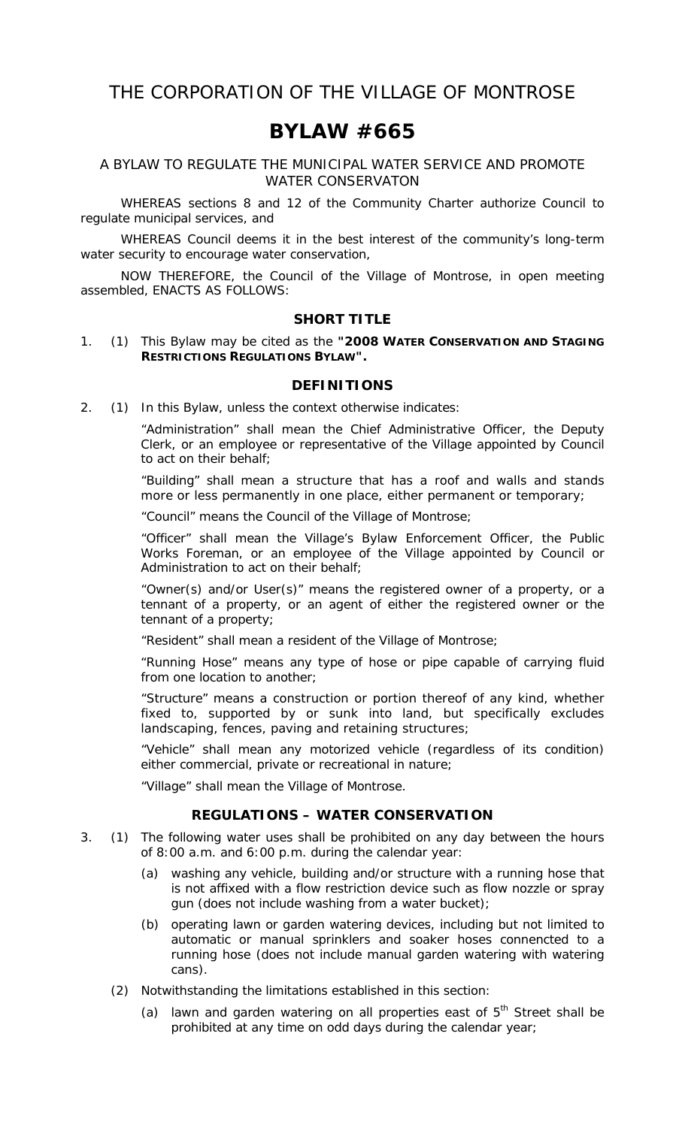# **BYLAW #665**

A BYLAW TO REGULATE THE MUNICIPAL WATER SERVICE AND PROMOTE WATER CONSERVATON

 WHEREAS sections 8 and 12 of the *Community Charter* authorize Council to regulate municipal services, and

 WHEREAS Council deems it in the best interest of the community's long-term water security to encourage water conservation,

 NOW THEREFORE, the Council of the Village of Montrose, in open meeting assembled, ENACTS AS FOLLOWS:

#### **SHORT TITLE**

1. (1) This Bylaw may be cited as the **"2008 WATER CONSERVATION AND STAGING RESTRICTIONS REGULATIONS BYLAW".** 

#### **DEFINITIONS**

2. (1) In this Bylaw, unless the context otherwise indicates:

 "Administration" shall mean the Chief Administrative Officer, the Deputy Clerk, or an employee or representative of the Village appointed by Council to act on their behalf;

 "Building" shall mean a structure that has a roof and walls and stands more or less permanently in one place, either permanent or temporary;

"Council" means the Council of the Village of Montrose;

 "Officer" shall mean the Village's Bylaw Enforcement Officer, the Public Works Foreman, or an employee of the Village appointed by Council or Administration to act on their behalf;

 "Owner(s) and/or User(s)" means the registered owner of a property, or a tennant of a property, or an agent of either the registered owner or the tennant of a property;

"Resident" shall mean a resident of the Village of Montrose;

 "Running Hose" means any type of hose or pipe capable of carrying fluid from one location to another;

 "Structure" means a construction or portion thereof of any kind, whether fixed to, supported by or sunk into land, but specifically excludes landscaping, fences, paving and retaining structures;

 "Vehicle" shall mean any motorized vehicle (regardless of its condition) either commercial, private or recreational in nature;

"Village" shall mean the Village of Montrose.

#### **REGULATIONS – WATER CONSERVATION**

- 3. (1) The following water uses shall be prohibited on any day between the hours of 8:00 a.m. and 6:00 p.m. during the calendar year:
	- (a) washing any vehicle, building and/or structure with a running hose that is not affixed with a flow restriction device such as flow nozzle or spray gun (does not include washing from a water bucket);
	- (b) operating lawn or garden watering devices, including but not limited to automatic or manual sprinklers and soaker hoses connencted to a running hose (does not include manual garden watering with watering cans).
	- (2) Notwithstanding the limitations established in this section:
		- (a) lawn and garden watering on all properties east of  $5<sup>th</sup>$  Street shall be prohibited at any time on odd days during the calendar year;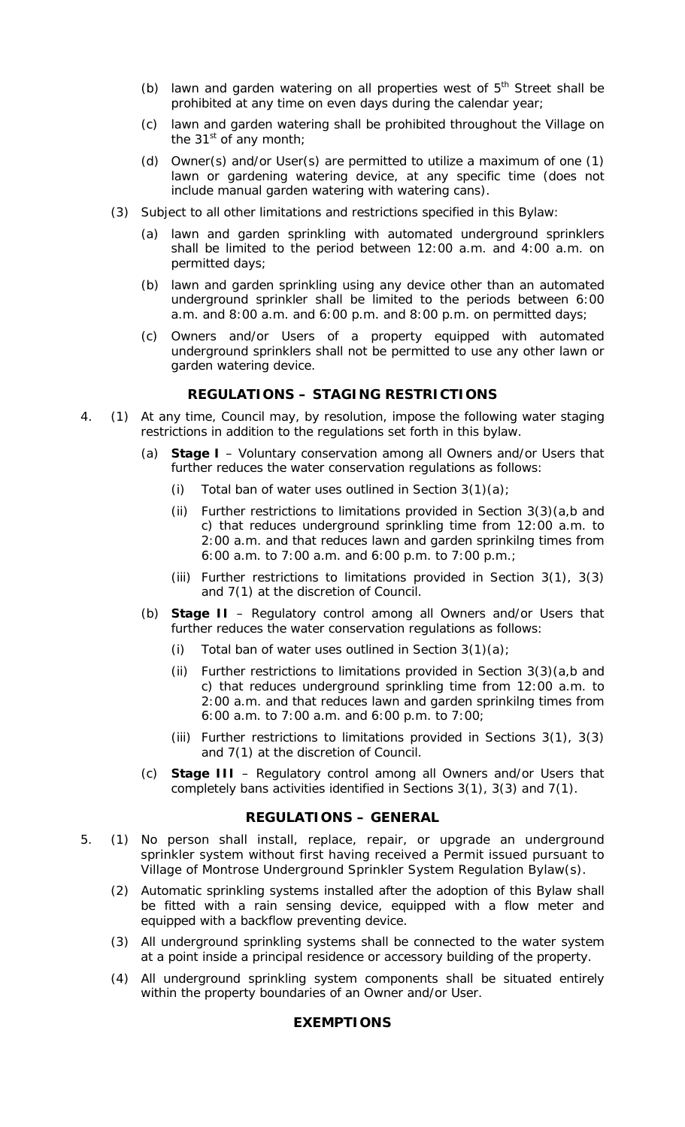- (b) lawn and garden watering on all properties west of  $5<sup>th</sup>$  Street shall be prohibited at any time on even days during the calendar year;
- (c) lawn and garden watering shall be prohibited throughout the Village on the 31 $\mathrm{st}$  of any month;
- (d) Owner(s) and/or User(s) are permitted to utilize a maximum of one (1) lawn or gardening watering device, at any specific time (does not include manual garden watering with watering cans).
- (3) Subject to all other limitations and restrictions specified in this Bylaw:
	- (a) lawn and garden sprinkling with automated underground sprinklers shall be limited to the period between 12:00 a.m. and 4:00 a.m. on permitted days;
	- (b) lawn and garden sprinkling using any device other than an automated underground sprinkler shall be limited to the periods between 6:00 a.m. and 8:00 a.m. and 6:00 p.m. and 8:00 p.m. on permitted days;
	- (c) Owners and/or Users of a property equipped with automated underground sprinklers shall not be permitted to use any other lawn or garden watering device.

#### **REGULATIONS – STAGING RESTRICTIONS**

- 4. (1) At any time, Council may, by resolution, impose the following water staging restrictions in addition to the regulations set forth in this bylaw.
	- (a) **Stage I**  Voluntary conservation among all Owners and/or Users that further reduces the water conservation regulations as follows:
		- (i) Total ban of water uses outlined in Section  $3(1)(a)$ ;
		- (ii) Further restrictions to limitations provided in Section  $3(3)(a,b)$  and c) that reduces underground sprinkling time from 12:00 a.m. to 2:00 a.m. and that reduces lawn and garden sprinkilng times from 6:00 a.m. to 7:00 a.m. and 6:00 p.m. to 7:00 p.m.;
		- (iii) Further restrictions to limitations provided in Section 3(1), 3(3) and 7(1) at the discretion of Council.
	- (b) **Stage II** Regulatory control among all Owners and/or Users that further reduces the water conservation regulations as follows:
		- (i) Total ban of water uses outlined in Section  $3(1)(a)$ ;
		- (ii) Further restrictions to limitations provided in Section  $3(3)(a,b)$  and c) that reduces underground sprinkling time from 12:00 a.m. to 2:00 a.m. and that reduces lawn and garden sprinkilng times from 6:00 a.m. to 7:00 a.m. and 6:00 p.m. to 7:00;
		- (iii) Further restrictions to limitations provided in Sections 3(1), 3(3) and 7(1) at the discretion of Council.
	- (c) **Stage III** Regulatory control among all Owners and/or Users that completely bans activities identified in Sections 3(1), 3(3) and 7(1).

#### **REGULATIONS – GENERAL**

- 5. (1) No person shall install, replace, repair, or upgrade an underground sprinkler system without first having received a Permit issued pursuant to Village of Montrose Underground Sprinkler System Regulation Bylaw(s).
	- (2) Automatic sprinkling systems installed after the adoption of this Bylaw shall be fitted with a rain sensing device, equipped with a flow meter and equipped with a backflow preventing device.
	- (3) All underground sprinkling systems shall be connected to the water system at a point inside a principal residence or accessory building of the property.
	- (4) All underground sprinkling system components shall be situated entirely within the property boundaries of an Owner and/or User.

#### **EXEMPTIONS**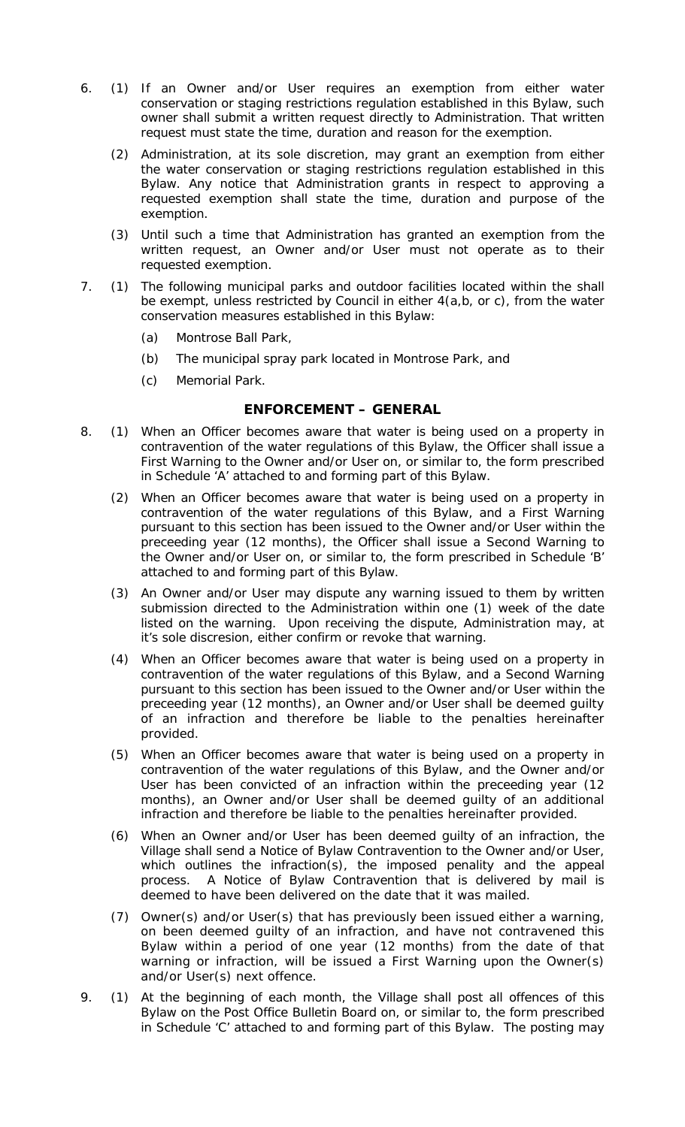- 6. (1) If an Owner and/or User requires an exemption from either water conservation or staging restrictions regulation established in this Bylaw, such owner shall submit a written request directly to Administration. That written request must state the time, duration and reason for the exemption.
	- (2) Administration, at its sole discretion, may grant an exemption from either the water conservation or staging restrictions regulation established in this Bylaw. Any notice that Administration grants in respect to approving a requested exemption shall state the time, duration and purpose of the exemption.
	- (3) Until such a time that Administration has granted an exemption from the written request, an Owner and/or User must not operate as to their requested exemption.
- 7. (1) The following municipal parks and outdoor facilities located within the shall be exempt, unless restricted by Council in either 4(a,b, or c), from the water conservation measures established in this Bylaw:
	- (a) Montrose Ball Park,
	- (b) The municipal spray park located in Montrose Park, and
	- (c) Memorial Park.

#### **ENFORCEMENT – GENERAL**

- 8. (1) When an Officer becomes aware that water is being used on a property in contravention of the water regulations of this Bylaw, the Officer shall issue a First Warning to the Owner and/or User on, or similar to, the form prescribed in Schedule 'A' attached to and forming part of this Bylaw.
	- (2) When an Officer becomes aware that water is being used on a property in contravention of the water regulations of this Bylaw, and a First Warning pursuant to this section has been issued to the Owner and/or User within the preceeding year (12 months), the Officer shall issue a Second Warning to the Owner and/or User on, or similar to, the form prescribed in Schedule 'B' attached to and forming part of this Bylaw.
	- (3) An Owner and/or User may dispute any warning issued to them by written submission directed to the Administration within one (1) week of the date listed on the warning. Upon receiving the dispute, Administration may, at it's sole discresion, either confirm or revoke that warning.
	- (4) When an Officer becomes aware that water is being used on a property in contravention of the water regulations of this Bylaw, and a Second Warning pursuant to this section has been issued to the Owner and/or User within the preceeding year (12 months), an Owner and/or User shall be deemed guilty of an infraction and therefore be liable to the penalties hereinafter provided.
	- (5) When an Officer becomes aware that water is being used on a property in contravention of the water regulations of this Bylaw, and the Owner and/or User has been convicted of an infraction within the preceeding year (12 months), an Owner and/or User shall be deemed guilty of an additional infraction and therefore be liable to the penalties hereinafter provided.
	- (6) When an Owner and/or User has been deemed guilty of an infraction, the Village shall send a Notice of Bylaw Contravention to the Owner and/or User, which outlines the infraction(s), the imposed penality and the appeal process. A Notice of Bylaw Contravention that is delivered by mail is deemed to have been delivered on the date that it was mailed.
	- (7) Owner(s) and/or User(s) that has previously been issued either a warning, on been deemed guilty of an infraction, and have not contravened this Bylaw within a period of one year (12 months) from the date of that warning or infraction, will be issued a First Warning upon the Owner(s) and/or User(s) next offence.
- 9. (1) At the beginning of each month, the Village shall post all offences of this Bylaw on the Post Office Bulletin Board on, or similar to, the form prescribed in Schedule 'C' attached to and forming part of this Bylaw. The posting may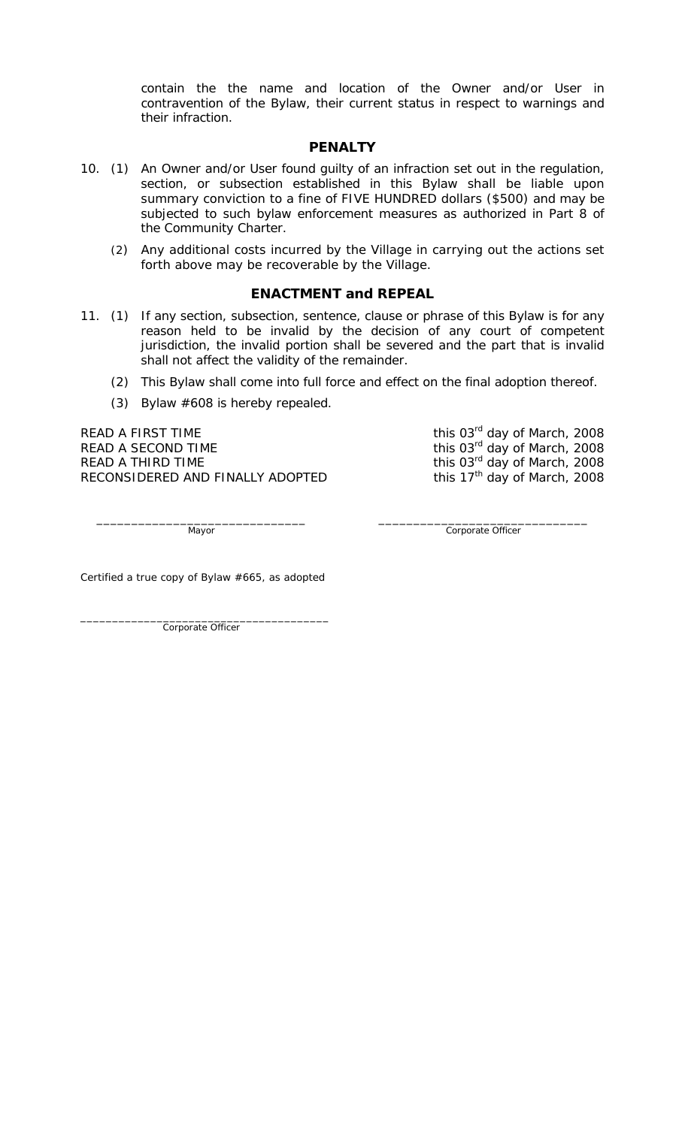contain the the name and location of the Owner and/or User in contravention of the Bylaw, their current status in respect to warnings and their infraction.

#### **PENALTY**

- 10. (1) An Owner and/or User found guilty of an infraction set out in the regulation, section, or subsection established in this Bylaw shall be liable upon summary conviction to a fine of FIVE HUNDRED dollars (\$500) and may be subjected to such bylaw enforcement measures as authorized in Part 8 of the *Community Charter*.
	- (2) Any additional costs incurred by the Village in carrying out the actions set forth above may be recoverable by the Village.

#### **ENACTMENT and REPEAL**

- 11. (1) If any section, subsection, sentence, clause or phrase of this Bylaw is for any reason held to be invalid by the decision of any court of competent jurisdiction, the invalid portion shall be severed and the part that is invalid shall not affect the validity of the remainder.
	- (2) This Bylaw shall come into full force and effect on the final adoption thereof.
	- (3) Bylaw #608 is hereby repealed.

READ A FIRST TIME  $R$  and  $R$  and  $R$  and  $R$  this 03<sup>rd</sup> day of March, 2008 READ A SECOND TIME  $R$  and  $R$  this 03<sup>rd</sup> day of March, 2008 READ A THIRD TIME  $R$  and  $R$  this 03<sup>rd</sup> day of March, 2008 RECONSIDERED AND FINALLY ADOPTED this  $17<sup>th</sup>$  day of March, 2008

 $\frac{1}{2}$  ,  $\frac{1}{2}$  ,  $\frac{1}{2}$  ,  $\frac{1}{2}$  ,  $\frac{1}{2}$  ,  $\frac{1}{2}$  ,  $\frac{1}{2}$  ,  $\frac{1}{2}$  ,  $\frac{1}{2}$  ,  $\frac{1}{2}$  ,  $\frac{1}{2}$  ,  $\frac{1}{2}$  ,  $\frac{1}{2}$  ,  $\frac{1}{2}$  ,  $\frac{1}{2}$  ,  $\frac{1}{2}$  ,  $\frac{1}{2}$  ,  $\frac{1}{2}$  ,  $\frac{1$ Mayor Corporate Officer

Certified a true copy of Bylaw #665, as adopted

\_\_\_\_\_\_\_\_\_\_\_\_\_\_\_\_\_\_\_\_\_\_\_\_\_\_\_\_\_\_\_\_\_\_\_\_\_\_\_ Corporate Officer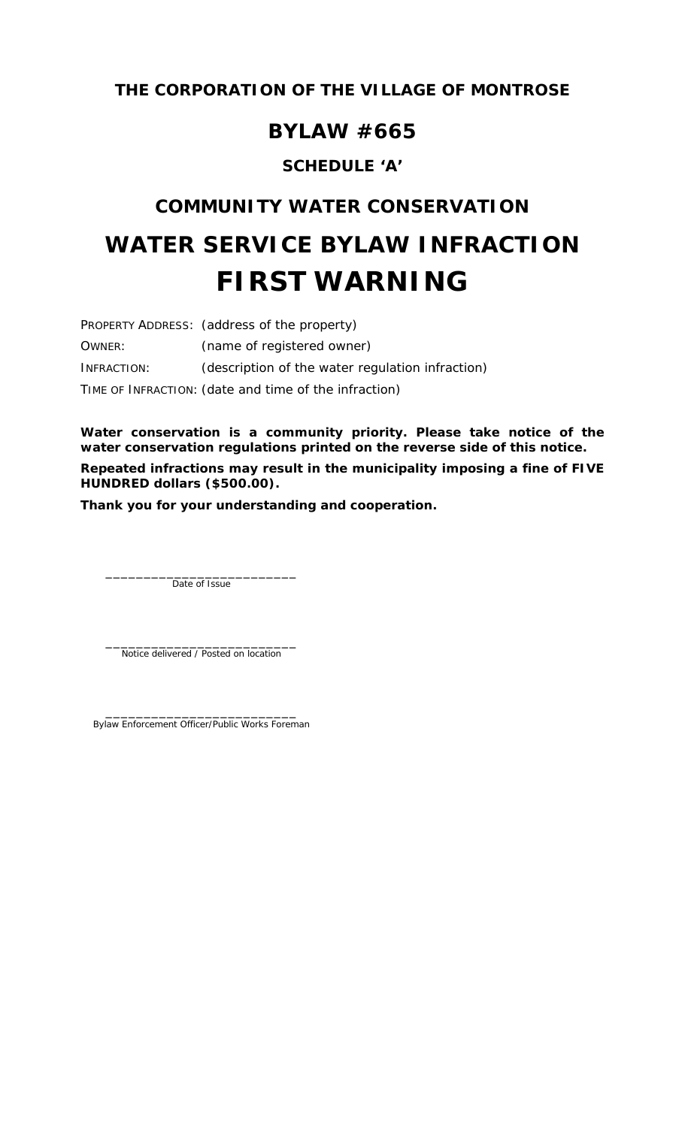## **BYLAW #665**

## **SCHEDULE 'A'**

## **COMMUNITY WATER CONSERVATION**

# **WATER SERVICE BYLAW INFRACTION FIRST WARNING**

PROPERTY ADDRESS: (address of the property) OWNER: (name of registered owner) INFRACTION: (description of the water regulation infraction) TIME OF INFRACTION: (date and time of the infraction)

**Water conservation is a community priority. Please take notice of the water conservation regulations printed on the reverse side of this notice. Repeated infractions may result in the municipality imposing a fine of FIVE HUNDRED dollars (\$500.00).** 

**Thank you for your understanding and cooperation.** 

Date of Issue

 $\frac{1}{2}$  ,  $\frac{1}{2}$  ,  $\frac{1}{2}$  ,  $\frac{1}{2}$  ,  $\frac{1}{2}$  ,  $\frac{1}{2}$  ,  $\frac{1}{2}$  ,  $\frac{1}{2}$  ,  $\frac{1}{2}$  ,  $\frac{1}{2}$  ,  $\frac{1}{2}$  ,  $\frac{1}{2}$  ,  $\frac{1}{2}$  ,  $\frac{1}{2}$  ,  $\frac{1}{2}$  ,  $\frac{1}{2}$  ,  $\frac{1}{2}$  ,  $\frac{1}{2}$  ,  $\frac{1$ Notice delivered / Posted on location

 $\frac{1}{2}$  ,  $\frac{1}{2}$  ,  $\frac{1}{2}$  ,  $\frac{1}{2}$  ,  $\frac{1}{2}$  ,  $\frac{1}{2}$  ,  $\frac{1}{2}$  ,  $\frac{1}{2}$  ,  $\frac{1}{2}$  ,  $\frac{1}{2}$  ,  $\frac{1}{2}$  ,  $\frac{1}{2}$  ,  $\frac{1}{2}$  ,  $\frac{1}{2}$  ,  $\frac{1}{2}$  ,  $\frac{1}{2}$  ,  $\frac{1}{2}$  ,  $\frac{1}{2}$  ,  $\frac{1$ Bylaw Enforcement Officer/Public Works Foreman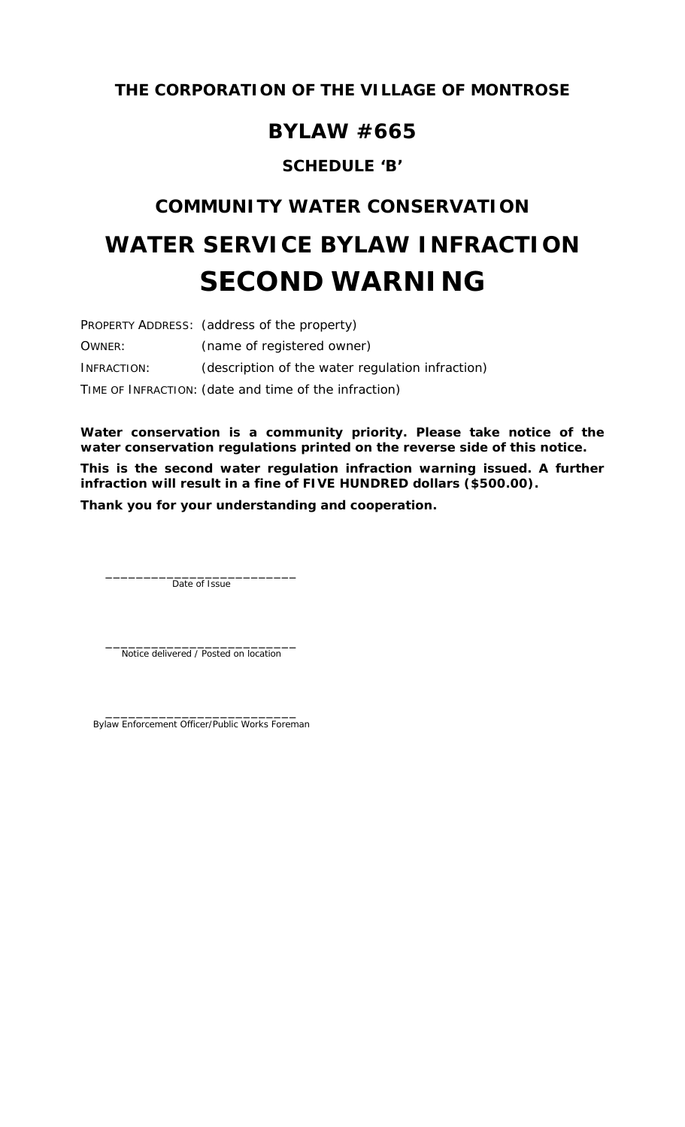## **BYLAW #665**

## **SCHEDULE 'B'**

## **COMMUNITY WATER CONSERVATION**

# **WATER SERVICE BYLAW INFRACTION SECOND WARNING**

PROPERTY ADDRESS: (address of the property) OWNER: (name of registered owner) INFRACTION: (description of the water regulation infraction) TIME OF INFRACTION: (date and time of the infraction)

**Water conservation is a community priority. Please take notice of the water conservation regulations printed on the reverse side of this notice. This is the second water regulation infraction warning issued. A further infraction will result in a fine of FIVE HUNDRED dollars (\$500.00).** 

**Thank you for your understanding and cooperation.** 

Date of Issue

 $\frac{1}{2}$  ,  $\frac{1}{2}$  ,  $\frac{1}{2}$  ,  $\frac{1}{2}$  ,  $\frac{1}{2}$  ,  $\frac{1}{2}$  ,  $\frac{1}{2}$  ,  $\frac{1}{2}$  ,  $\frac{1}{2}$  ,  $\frac{1}{2}$  ,  $\frac{1}{2}$  ,  $\frac{1}{2}$  ,  $\frac{1}{2}$  ,  $\frac{1}{2}$  ,  $\frac{1}{2}$  ,  $\frac{1}{2}$  ,  $\frac{1}{2}$  ,  $\frac{1}{2}$  ,  $\frac{1$ Notice delivered / Posted on location

 $\frac{1}{2}$  ,  $\frac{1}{2}$  ,  $\frac{1}{2}$  ,  $\frac{1}{2}$  ,  $\frac{1}{2}$  ,  $\frac{1}{2}$  ,  $\frac{1}{2}$  ,  $\frac{1}{2}$  ,  $\frac{1}{2}$  ,  $\frac{1}{2}$  ,  $\frac{1}{2}$  ,  $\frac{1}{2}$  ,  $\frac{1}{2}$  ,  $\frac{1}{2}$  ,  $\frac{1}{2}$  ,  $\frac{1}{2}$  ,  $\frac{1}{2}$  ,  $\frac{1}{2}$  ,  $\frac{1$ Bylaw Enforcement Officer/Public Works Foreman